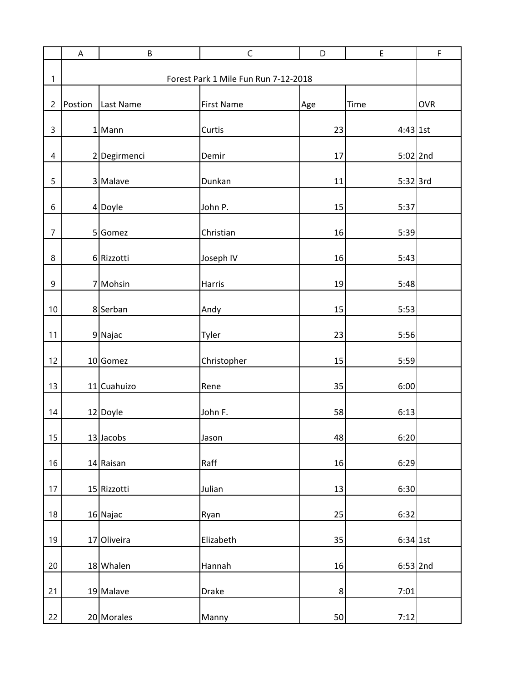|                | A       | B                                    | $\mathsf C$       | D              | E          | $\mathsf F$ |  |  |
|----------------|---------|--------------------------------------|-------------------|----------------|------------|-------------|--|--|
| 1              |         | Forest Park 1 Mile Fun Run 7-12-2018 |                   |                |            |             |  |  |
| $\overline{c}$ | Postion | Last Name                            | <b>First Name</b> | Age            | Time       | <b>OVR</b>  |  |  |
| $\mathsf 3$    |         | $1$ Mann                             | Curtis            | 23             | $4:43$ 1st |             |  |  |
| $\overline{4}$ |         | 2 Degirmenci                         | Demir             | 17             | $5:02$ 2nd |             |  |  |
| 5              |         | 3 Malave                             | Dunkan            | 11             | 5:32 3rd   |             |  |  |
| 6              |         | 4 Doyle                              | John P.           | 15             | 5:37       |             |  |  |
| $\overline{7}$ |         | 5 Gomez                              | Christian         | 16             | 5:39       |             |  |  |
| 8              |         | 6 Rizzotti                           | Joseph IV         | 16             | 5:43       |             |  |  |
| 9              |         | 7 Mohsin                             | <b>Harris</b>     | 19             | 5:48       |             |  |  |
| 10             |         | 8 Serban                             | Andy              | 15             | 5:53       |             |  |  |
| 11             |         | 9 Najac                              | Tyler             | 23             | 5:56       |             |  |  |
| 12             |         | 10 Gomez                             | Christopher       | 15             | 5:59       |             |  |  |
| 13             |         | 11 Cuahuizo                          | Rene              | 35             | 6:00       |             |  |  |
| 14             |         | 12 Doyle                             | John F.           | 58             | 6:13       |             |  |  |
| 15             |         | 13 Jacobs                            | Jason             | 48             | 6:20       |             |  |  |
| 16             |         | 14 Raisan                            | Raff              | 16             | 6:29       |             |  |  |
| 17             |         | 15 Rizzotti                          | Julian            | 13             | 6:30       |             |  |  |
| 18             |         | 16 Najac                             | Ryan              | 25             | 6:32       |             |  |  |
| 19             |         | 17 Oliveira                          | Elizabeth         | 35             | 6:34 1st   |             |  |  |
| 20             |         | 18 Whalen                            | Hannah            | 16             | $6:53$ 2nd |             |  |  |
| 21             |         | 19 Malave                            | <b>Drake</b>      | 8 <sup>2</sup> | 7:01       |             |  |  |
| 22             |         | 20 Morales                           | Manny             | 50             | 7:12       |             |  |  |